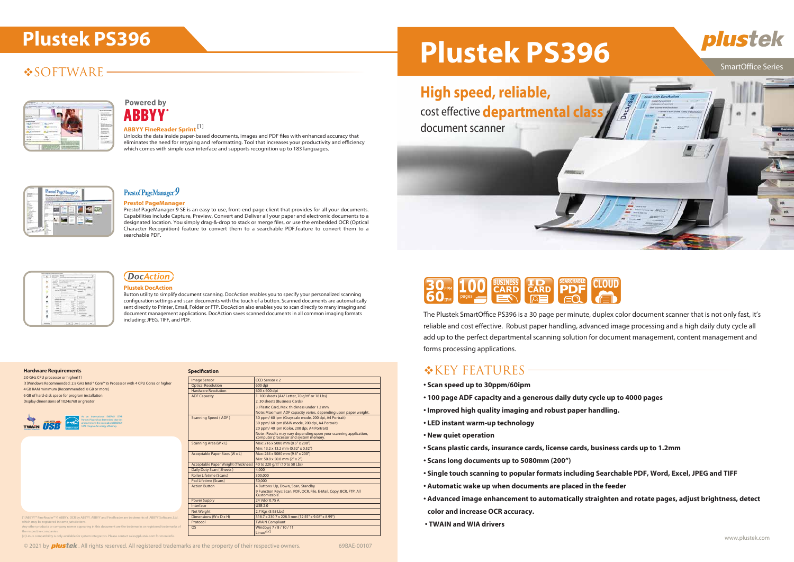# $\bigcirc$ SOFTWARE -



# **Powered by ABBYY**

# **Plustek PS396 Plustek PS396**





# **High speed, reliable,**

cost effective **departmental class** 

document scanner



The Plustek SmartOffice PS396 is a 30 page per minute, duplex color document scanner that is not only fast, it's reliable and cost effective. Robust paper handling, advanced image processing and a high daily duty cycle all add up to the perfect departmental scanning solution for document management, content management and forms processing applications.

# $K$ KEY FEATURES-

Unlocks the data inside paper-based documents, images and PDF files with enhanced accuracy that eliminates the need for retyping and reformatting. Tool that increases your productivity and efficiency which comes with simple user interface and supports recognition up to 183 languages.



### Presto! PageManager 9

- **Scan speed up to 30ppm/60ipm**
- **100 page ADF capacity and a generous daily duty cycle up to 4000 pages**
- **Improved high quality imaging and robust paper handling.**
- **LED instant warm-up technology**
- **New quiet operation**
- **Scans plastic cards, insurance cards, license cards, business cards up to 1.2mm**
- **Scans long documents up to 5080mm (200")**
- **Single touch scanning to popular formats including Searchable PDF, Word, Excel, JPEG and TIFF**
- **Automatic wake up when documents are placed in the feeder**
- **color and increase OCR accuracy.**
- **TWAIN and WIA drivers**

**• Advanced image enhancement to automatically straighten and rotate pages, adjust brightness, detect** 

### **ABBYY FineReader Sprint** [1]

Presto! PageManager 9 SE is an easy to use, front-end page client that provides for all your documents. Capabilities include Capture, Preview, Convert and Deliver all your paper and electronic documents to a designated location. You simply drag-&-drop to stack or merge files, or use the embedded OCR (Optical Character Recognition) feature to convert them to a searchable PDF.feature to convert them to a searchable PDF.

# **DocAction**

2.0 GHz CPU processor or higher<sup>[1]</sup> [1]Windows Recommended: 2.8 GHz Intel® Core™ i5 Processor with 4 CPU Cores or higher 4 GB RAM minimum (Recommended: 8 GB or more) 6 GB of hard-disk space for program installation Display dimensions of 1024x768 or greater



### **Plustek DocAction**

Button utility to simplify document scanning. DocAction enables you to specify your personalized scanning configuration settings and scan documents with the touch of a button. Scanned documents are automatically sent directly to Printer, Email, Folder or FTP. DocAction also enables you to scan directly to many imaging and document management applications. DocAction saves scanned documents in all common imaging formats including: JPEG, TIFF, and PDF.

### **Presto! PageManager**

™ FineReader™ © ABBYY. OCR by ABBYY. ABBYY and FineReader are trademarks of ABBYY Softw which may be registered in some jurisdictions. Any other products or company names appearing in this document are the trademarks or registered trademarks of



### **Hardware Requirements**

| <b>Image Sensor</b>                        | CCD Sensor x 2                                                                                            |
|--------------------------------------------|-----------------------------------------------------------------------------------------------------------|
| <b>Optical Resolution</b>                  | 600 dpi                                                                                                   |
| <b>Hardware Resolution</b>                 | 600 x 600 dpi                                                                                             |
| <b>ADF Capacity</b>                        | 1.100 sheets (A4/ Letter, 70 q/m <sup>2</sup> or 18 Lbs)                                                  |
|                                            | 2.30 sheets (Business Cards)                                                                              |
|                                            | 3. Plastic Card, Max. thickness under 1.2 mm.                                                             |
|                                            | Note: Maximum ADF capacity varies, depending upon paper weight.                                           |
| Scanning Speed (ADF)                       | 30 ppm/60 ipm (Grayscale mode, 200 dpi, A4 Portrait)                                                      |
|                                            | 30 ppm/60 ipm (B&W mode, 200 dpi, A4 Portrait)                                                            |
|                                            | 20 ppm/ 40 ipm (Color, 200 dpi, A4 Portrait)                                                              |
|                                            | Note: Results may vary depending upon your scanning application,<br>computer processor and system memory. |
| Scanning Area (W x L)                      | Max: 216 x 5080 mm (8.5" x 200")                                                                          |
|                                            | Min: 13.2 x 13.2 mm (0.52" x 0.52")                                                                       |
| Acceptable Paper Sizes (W x L)             | Max: 244 x 5080 mm (9.6" x 200")                                                                          |
|                                            | Min: 50.8 x 50.8 mm (2" x 2")                                                                             |
| <b>Acceptable Paper Weight (Thickness)</b> | 40 to 220 g/m <sup>2</sup> (10 to 58 Lbs)                                                                 |
| Daily Duty Scan (Sheets)                   | 4.000                                                                                                     |
| <b>Roller Lifetime (Scans)</b>             | 300.000                                                                                                   |
| Pad Lifetime (Scans)                       | 50,000                                                                                                    |
| <b>Action Button</b>                       | 4 Buttons: Up, Down, Scan, Standby                                                                        |
|                                            | 9 Function Keys: Scan, PDF, OCR, File, E-Mail, Copy, BCR, FTP. All<br>Customizable.                       |
| Power Supply                               | 24 Vdc/ 0.75 A                                                                                            |
| Interface                                  | <b>USB 2.0</b>                                                                                            |
| <b>Net Weight</b>                          | 2.7 Kgs (5.95 Lbs)                                                                                        |
| Dimensions (W x D x H)                     | 318.7 x 230.7 x 228.3 mm (12.55" x 9.08" x 8.99")                                                         |
| Protocol                                   | <b>TWAIN Compliant</b>                                                                                    |
| OS                                         | Windows 7/8/10/11<br>$Linux*[2]$                                                                          |

| energy 5           | As an international ENERGY STAR<br>Partner, Plustek has determined that this<br>product meets the international ENERGY |
|--------------------|------------------------------------------------------------------------------------------------------------------------|
| <b>BNERGY STAR</b> | STAR Program for energy efficiency.                                                                                    |

the respective companies. [2] Linux compatibility is only available for system integrators. Please contact sales@plustek.com for more info.

 $\circ$  2021 by **plustek**. All rights reserved. All registered trademarks are the property of their respective owners. 69BAE-00107